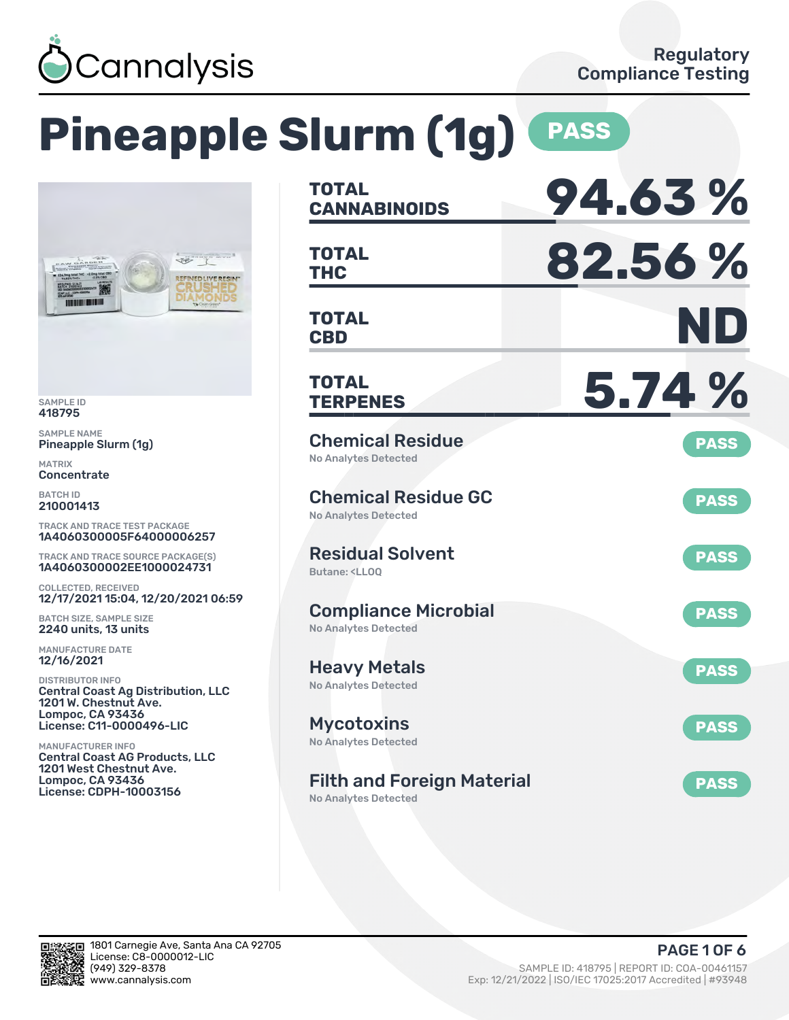

# **Pineapple Slurm (1g) PASS**



SAMPLE ID 418795

SAMPLE NAME Pineapple Slurm (1g)

MATRIX Concentrate

BATCH ID 210001413

TRACK AND TRACE TEST PACKAGE 1A4060300005F64000006257

TRACK AND TRACE SOURCE PACKAGE(S) 1A4060300002EE1000024731

COLLECTED, RECEIVED 12/17/2021 15:04, 12/20/2021 06:59

BATCH SIZE, SAMPLE SIZE 2240 units, 13 units

MANUFACTURE DATE 12/16/2021

DISTRIBUTOR INFO Central Coast Ag Distribution, LLC 1201 W. Chestnut Ave. Lompoc, CA 93436 License: C11-0000496-LIC

MANUFACTURER INFO Central Coast AG Products, LLC 1201 West Chestnut Ave. Lompoc, CA 93436 License: CDPH-10003156

| <b>TOTAL</b><br><b>CANNABINOIDS</b>                                          | 94.63%      |
|------------------------------------------------------------------------------|-------------|
| <b>TOTAL</b><br><b>THC</b>                                                   | 82.56%      |
| <b>TOTAL</b><br><b>CBD</b>                                                   | ND          |
| TOTAL<br><b>TERPENES</b>                                                     | 5.74 %      |
| <b>Chemical Residue</b><br><b>No Analytes Detected</b>                       | <b>PASS</b> |
| <b>Chemical Residue GC</b><br><b>No Analytes Detected</b>                    | <b>PASS</b> |
| <b>Residual Solvent</b><br>Butane: <ll00< td=""><td><b>PASS</b></td></ll00<> | <b>PASS</b> |
| <b>Compliance Microbial</b><br><b>No Analytes Detected</b>                   | <b>PASS</b> |
| <b>Heavy Metals</b><br><b>No Analytes Detected</b>                           | <b>PASS</b> |
| Mycotoxins<br>No Analytes Detected                                           | <b>PASS</b> |
| <b>Filth and Foreign Material</b><br><b>No Analytes Detected</b>             | <b>PASS</b> |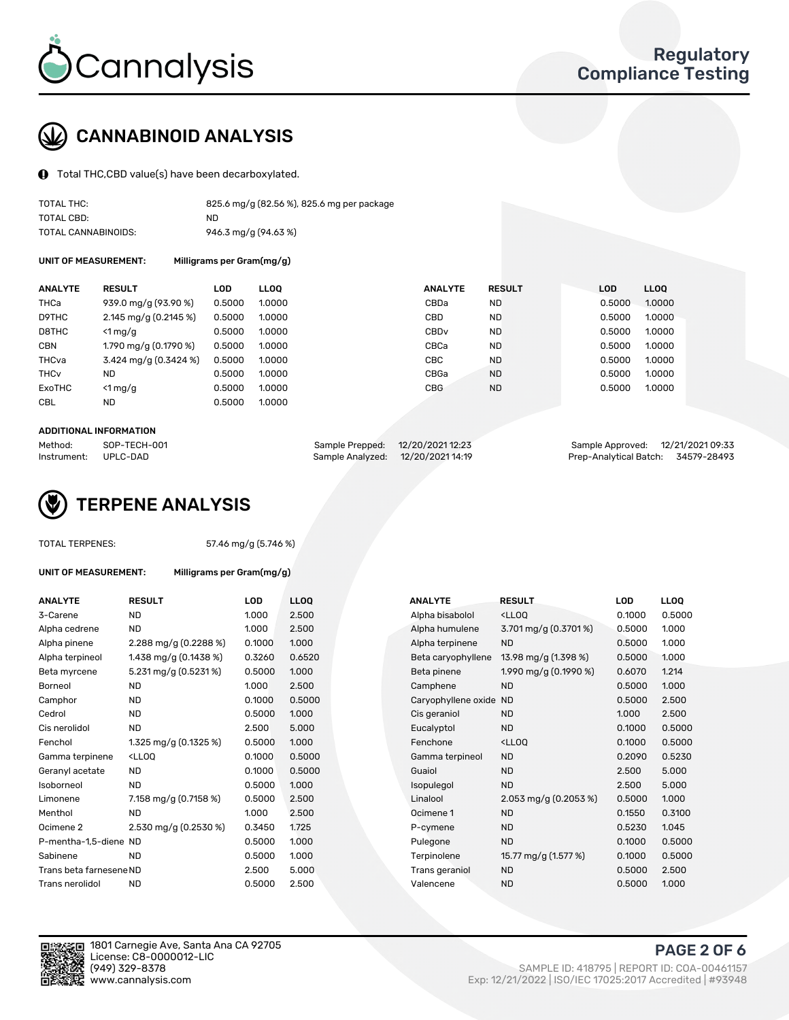

# CANNABINOID ANALYSIS

Total THC,CBD value(s) have been decarboxylated.

| TOTAL THC:          | 825.6 mg/g (82.56 %), 825.6 mg per package |
|---------------------|--------------------------------------------|
| TOTAL CBD:          | ND                                         |
| TOTAL CANNABINOIDS: | 946.3 mg/g (94.63 %)                       |

UNIT OF MEASUREMENT: Milligrams per Gram(mg/g)

| <b>ANALYTE</b>         | <b>RESULT</b>         | LOD    | <b>LLOO</b> | <b>ANALYTE</b>   | <b>RESULT</b> | <b>LOD</b> | <b>LLOO</b> |
|------------------------|-----------------------|--------|-------------|------------------|---------------|------------|-------------|
| THCa                   | 939.0 mg/g (93.90 %)  | 0.5000 | 1.0000      | CBDa             | ND.           | 0.5000     | 1.0000      |
| D9THC                  | 2.145 mg/g (0.2145 %) | 0.5000 | 1.0000      | <b>CBD</b>       | <b>ND</b>     | 0.5000     | 1.0000      |
| D8THC                  | $\leq 1$ mg/g         | 0.5000 | 1.0000      | CBD <sub>v</sub> | <b>ND</b>     | 0.5000     | 1.0000      |
| <b>CBN</b>             | 1.790 mg/g (0.1790 %) | 0.5000 | 1.0000      | CBCa             | <b>ND</b>     | 0.5000     | 1.0000      |
| THCva                  | 3.424 mg/g (0.3424 %) | 0.5000 | 1.0000      | CBC.             | <b>ND</b>     | 0.5000     | 1.0000      |
| <b>THC<sub>v</sub></b> | ND                    | 0.5000 | 1.0000      | CBGa             | <b>ND</b>     | 0.5000     | 1.0000      |
| ExoTHC                 | $<$ 1 mg/g            | 0.5000 | 1.0000      | <b>CBG</b>       | <b>ND</b>     | 0.5000     | 1.0000      |
| <b>CBL</b>             | ND                    | 0.5000 | 1.0000      |                  |               |            |             |

#### ADDITIONAL INFORMATION

| Method:              | SOP-TECH-001 | Sample Prepped: 12/20/202112:23   | Sample Approved: 12/21/2021 09:33  |  |
|----------------------|--------------|-----------------------------------|------------------------------------|--|
| Instrument: UPLC-DAD |              | Sample Analyzed: 12/20/2021 14:19 | Prep-Analytical Batch: 34579-28493 |  |



TOTAL TERPENES: 57.46 mg/g (5.746 %)

| <b>ANALYTE</b>          | <b>RESULT</b>                                                                                                              | <b>LOD</b> | <b>LLOQ</b> | <b>ANALYTE</b>         | <b>RESULT</b>                                      | <b>LOD</b> | <b>LLOQ</b> |
|-------------------------|----------------------------------------------------------------------------------------------------------------------------|------------|-------------|------------------------|----------------------------------------------------|------------|-------------|
| 3-Carene                | ND.                                                                                                                        | 1.000      | 2.500       | Alpha bisabolol        | <lloq< td=""><td>0.1000</td><td>0.500</td></lloq<> | 0.1000     | 0.500       |
| Alpha cedrene           | <b>ND</b>                                                                                                                  | 1.000      | 2.500       | Alpha humulene         | 3.701 mg/g (0.3701 %)                              | 0.5000     | 1.000       |
| Alpha pinene            | 2.288 mg/g (0.2288 %)                                                                                                      | 0.1000     | 1.000       | Alpha terpinene        | <b>ND</b>                                          | 0.5000     | 1.000       |
| Alpha terpineol         | 1.438 mg/g (0.1438 %)                                                                                                      | 0.3260     | 0.6520      | Beta caryophyllene     | 13.98 mg/g (1.398 %)                               | 0.5000     | 1.000       |
| Beta myrcene            | 5.231 mg/g (0.5231 %)                                                                                                      | 0.5000     | 1.000       | Beta pinene            | 1.990 mg/g (0.1990 %)                              | 0.6070     | 1.214       |
| Borneol                 | ND.                                                                                                                        | 1.000      | 2.500       | Camphene               | <b>ND</b>                                          | 0.5000     | 1.000       |
| Camphor                 | ND.                                                                                                                        | 0.1000     | 0.5000      | Caryophyllene oxide ND |                                                    | 0.5000     | 2.500       |
| Cedrol                  | ND.                                                                                                                        | 0.5000     | 1.000       | Cis geraniol           | <b>ND</b>                                          | 1.000      | 2.500       |
| Cis nerolidol           | <b>ND</b>                                                                                                                  | 2.500      | 5.000       | Eucalyptol             | <b>ND</b>                                          | 0.1000     | 0.500       |
| Fenchol                 | 1.325 mg/g (0.1325 %)                                                                                                      | 0.5000     | 1.000       | Fenchone               | <lloq< td=""><td>0.1000</td><td>0.500</td></lloq<> | 0.1000     | 0.500       |
| Gamma terpinene         | <lloq< td=""><td>0.1000</td><td>0.5000</td><td>Gamma terpineol</td><td><b>ND</b></td><td>0.2090</td><td>0.523</td></lloq<> | 0.1000     | 0.5000      | Gamma terpineol        | <b>ND</b>                                          | 0.2090     | 0.523       |
| Geranyl acetate         | <b>ND</b>                                                                                                                  | 0.1000     | 0.5000      | Guaiol                 | <b>ND</b>                                          | 2.500      | 5.000       |
| Isoborneol              | <b>ND</b>                                                                                                                  | 0.5000     | 1.000       | Isopulegol             | <b>ND</b>                                          | 2.500      | 5.000       |
| Limonene                | 7.158 mg/g (0.7158 %)                                                                                                      | 0.5000     | 2.500       | Linalool               | 2.053 mg/g $(0.2053\%)$                            | 0.5000     | 1.000       |
| Menthol                 | ND                                                                                                                         | 1.000      | 2.500       | Ocimene 1              | <b>ND</b>                                          | 0.1550     | 0.310       |
| Ocimene 2               | 2.530 mg/g (0.2530 %)                                                                                                      | 0.3450     | 1.725       | P-cymene               | <b>ND</b>                                          | 0.5230     | 1.045       |
| P-mentha-1,5-diene ND   |                                                                                                                            | 0.5000     | 1.000       | Pulegone               | <b>ND</b>                                          | 0.1000     | 0.500       |
| Sabinene                | <b>ND</b>                                                                                                                  | 0.5000     | 1.000       | Terpinolene            | 15.77 mg/g (1.577 %)                               | 0.1000     | 0.500       |
| Trans beta farnesene ND |                                                                                                                            | 2.500      | 5.000       | Trans geraniol         | <b>ND</b>                                          | 0.5000     | 2.500       |
| Trans nerolidol         | N <sub>D</sub>                                                                                                             | 0.5000     | 2.500       | Valencene              | N <sub>D</sub>                                     | 0.5000     | 1.000       |

UNIT OF MEASUREMENT: Milligrams per Gram(mg/g)

| <b>ANALYTE</b>          | <b>RESULT</b>                                                                                                               | <b>LOD</b> | <b>LLOQ</b> | <b>ANALYTE</b>         | <b>RESULT</b>                                       | <b>LOD</b> | <b>LLOQ</b> |
|-------------------------|-----------------------------------------------------------------------------------------------------------------------------|------------|-------------|------------------------|-----------------------------------------------------|------------|-------------|
| 3-Carene                | <b>ND</b>                                                                                                                   | 1.000      | 2.500       | Alpha bisabolol        | <lloq< td=""><td>0.1000</td><td>0.5000</td></lloq<> | 0.1000     | 0.5000      |
| Alpha cedrene           | <b>ND</b>                                                                                                                   | 1.000      | 2.500       | Alpha humulene         | $3.701 \,\mathrm{mg/g}$ (0.3701 %)                  | 0.5000     | 1.000       |
| Alpha pinene            | 2.288 mg/g $(0.2288\%)$                                                                                                     | 0.1000     | 1.000       | Alpha terpinene        | <b>ND</b>                                           | 0.5000     | 1.000       |
| Alpha terpineol         | 1.438 mg/g $(0.1438\%)$                                                                                                     | 0.3260     | 0.6520      | Beta caryophyllene     | 13.98 mg/g (1.398 %)                                | 0.5000     | 1.000       |
| Beta myrcene            | 5.231 mg/g (0.5231 %)                                                                                                       | 0.5000     | 1.000       | Beta pinene            | 1.990 mg/g (0.1990 %)                               | 0.6070     | 1.214       |
| Borneol                 | <b>ND</b>                                                                                                                   | 1.000      | 2.500       | Camphene               | <b>ND</b>                                           | 0.5000     | 1.000       |
| Camphor                 | <b>ND</b>                                                                                                                   | 0.1000     | 0.5000      | Caryophyllene oxide ND |                                                     | 0.5000     | 2.500       |
| Cedrol                  | <b>ND</b>                                                                                                                   | 0.5000     | 1.000       | Cis geraniol           | <b>ND</b>                                           | 1.000      | 2.500       |
| Cis nerolidol           | <b>ND</b>                                                                                                                   | 2.500      | 5.000       | Eucalyptol             | <b>ND</b>                                           | 0.1000     | 0.5000      |
| Fenchol                 | 1.325 mg/g (0.1325 %)                                                                                                       | 0.5000     | 1.000       | Fenchone               | <lloq< td=""><td>0.1000</td><td>0.5000</td></lloq<> | 0.1000     | 0.5000      |
| Gamma terpinene         | <lloq< td=""><td>0.1000</td><td>0.5000</td><td>Gamma terpineol</td><td><b>ND</b></td><td>0.2090</td><td>0.5230</td></lloq<> | 0.1000     | 0.5000      | Gamma terpineol        | <b>ND</b>                                           | 0.2090     | 0.5230      |
| Geranyl acetate         | ND.                                                                                                                         | 0.1000     | 0.5000      | Guaiol                 | <b>ND</b>                                           | 2.500      | 5.000       |
| Isoborneol              | <b>ND</b>                                                                                                                   | 0.5000     | 1.000       | Isopulegol             | <b>ND</b>                                           | 2.500      | 5.000       |
| Limonene                | 7.158 mg/g (0.7158 %)                                                                                                       | 0.5000     | 2.500       | Linalool               | 2.053 mg/g $(0.2053\%)$                             | 0.5000     | 1.000       |
| Menthol                 | <b>ND</b>                                                                                                                   | 1.000      | 2.500       | Ocimene 1              | <b>ND</b>                                           | 0.1550     | 0.3100      |
| Ocimene 2               | 2.530 mg/g (0.2530 %)                                                                                                       | 0.3450     | 1.725       | P-cymene               | <b>ND</b>                                           | 0.5230     | 1.045       |
| P-mentha-1,5-diene ND   |                                                                                                                             | 0.5000     | 1.000       | Pulegone               | <b>ND</b>                                           | 0.1000     | 0.5000      |
| Sabinene                | <b>ND</b>                                                                                                                   | 0.5000     | 1.000       | Terpinolene            | 15.77 mg/g (1.577 %)                                | 0.1000     | 0.5000      |
| Trans beta farnesene ND |                                                                                                                             | 2.500      | 5.000       | Trans geraniol         | <b>ND</b>                                           | 0.5000     | 2.500       |
| Trans nerolidol         | <b>ND</b>                                                                                                                   | 0.5000     | 2.500       | Valencene              | <b>ND</b>                                           | 0.5000     | 1.000       |



PAGE 2 OF 6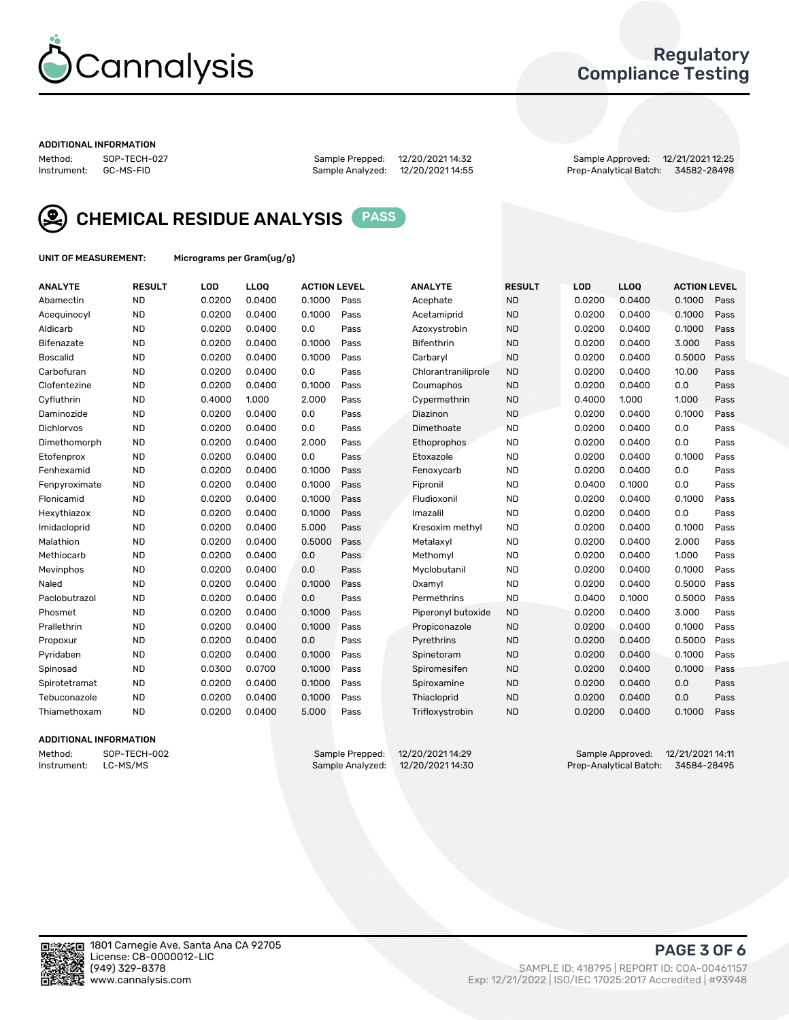

## Regulatory Compliance Testing

#### ADDITIONAL INFORMATION

Method: SOP-TECH-027 Sample Prepped: 12/20/2021 14:32 Sample Approved: 12/21/2021 12:25

Prep-Analytical Batch: 34582-28498



CHEMICAL RESIDUE ANALYSIS PASS

UNIT OF MEASUREMENT: Micrograms per Gram(ug/g)

| <b>ANALYTE</b>    | <b>RESULT</b> | LOD    | LLOQ   | <b>ACTION LEVEL</b> |      | <b>ANALYTE</b>      | <b>RESULT</b> | LOD    | LLOQ   | <b>ACTION LEVEL</b> |      |
|-------------------|---------------|--------|--------|---------------------|------|---------------------|---------------|--------|--------|---------------------|------|
| Abamectin         | <b>ND</b>     | 0.0200 | 0.0400 | 0.1000              | Pass | Acephate            | <b>ND</b>     | 0.0200 | 0.0400 | 0.1000              | Pass |
| Acequinocyl       | <b>ND</b>     | 0.0200 | 0.0400 | 0.1000              | Pass | Acetamiprid         | <b>ND</b>     | 0.0200 | 0.0400 | 0.1000              | Pass |
| Aldicarb          | <b>ND</b>     | 0.0200 | 0.0400 | 0.0                 | Pass | Azoxystrobin        | <b>ND</b>     | 0.0200 | 0.0400 | 0.1000              | Pass |
| Bifenazate        | <b>ND</b>     | 0.0200 | 0.0400 | 0.1000              | Pass | <b>Bifenthrin</b>   | <b>ND</b>     | 0.0200 | 0.0400 | 3.000               | Pass |
| <b>Boscalid</b>   | <b>ND</b>     | 0.0200 | 0.0400 | 0.1000              | Pass | Carbaryl            | <b>ND</b>     | 0.0200 | 0.0400 | 0.5000              | Pass |
| Carbofuran        | <b>ND</b>     | 0.0200 | 0.0400 | 0.0                 | Pass | Chlorantraniliprole | <b>ND</b>     | 0.0200 | 0.0400 | 10.00               | Pass |
| Clofentezine      | <b>ND</b>     | 0.0200 | 0.0400 | 0.1000              | Pass | Coumaphos           | <b>ND</b>     | 0.0200 | 0.0400 | 0.0                 | Pass |
| Cyfluthrin        | <b>ND</b>     | 0.4000 | 1.000  | 2.000               | Pass | Cypermethrin        | <b>ND</b>     | 0.4000 | 1.000  | 1.000               | Pass |
| Daminozide        | <b>ND</b>     | 0.0200 | 0.0400 | 0.0                 | Pass | Diazinon            | <b>ND</b>     | 0.0200 | 0.0400 | 0.1000              | Pass |
| <b>Dichlorvos</b> | <b>ND</b>     | 0.0200 | 0.0400 | 0.0                 | Pass | Dimethoate          | <b>ND</b>     | 0.0200 | 0.0400 | 0.0                 | Pass |
| Dimethomorph      | <b>ND</b>     | 0.0200 | 0.0400 | 2.000               | Pass | <b>Ethoprophos</b>  | <b>ND</b>     | 0.0200 | 0.0400 | 0.0                 | Pass |
| Etofenprox        | <b>ND</b>     | 0.0200 | 0.0400 | 0.0                 | Pass | Etoxazole           | <b>ND</b>     | 0.0200 | 0.0400 | 0.1000              | Pass |
| Fenhexamid        | <b>ND</b>     | 0.0200 | 0.0400 | 0.1000              | Pass | Fenoxycarb          | <b>ND</b>     | 0.0200 | 0.0400 | 0.0                 | Pass |
| Fenpyroximate     | <b>ND</b>     | 0.0200 | 0.0400 | 0.1000              | Pass | Fipronil            | <b>ND</b>     | 0.0400 | 0.1000 | 0.0                 | Pass |
| Flonicamid        | <b>ND</b>     | 0.0200 | 0.0400 | 0.1000              | Pass | Fludioxonil         | <b>ND</b>     | 0.0200 | 0.0400 | 0.1000              | Pass |
| Hexythiazox       | <b>ND</b>     | 0.0200 | 0.0400 | 0.1000              | Pass | Imazalil            | <b>ND</b>     | 0.0200 | 0.0400 | 0.0                 | Pass |
| Imidacloprid      | <b>ND</b>     | 0.0200 | 0.0400 | 5.000               | Pass | Kresoxim methyl     | <b>ND</b>     | 0.0200 | 0.0400 | 0.1000              | Pass |
| Malathion         | <b>ND</b>     | 0.0200 | 0.0400 | 0.5000              | Pass | Metalaxyl           | <b>ND</b>     | 0.0200 | 0.0400 | 2.000               | Pass |
| Methiocarb        | <b>ND</b>     | 0.0200 | 0.0400 | 0.0                 | Pass | Methomyl            | <b>ND</b>     | 0.0200 | 0.0400 | 1.000               | Pass |
| Mevinphos         | <b>ND</b>     | 0.0200 | 0.0400 | 0.0                 | Pass | Myclobutanil        | <b>ND</b>     | 0.0200 | 0.0400 | 0.1000              | Pass |
| Naled             | <b>ND</b>     | 0.0200 | 0.0400 | 0.1000              | Pass | Oxamyl              | <b>ND</b>     | 0.0200 | 0.0400 | 0.5000              | Pass |
| Paclobutrazol     | <b>ND</b>     | 0.0200 | 0.0400 | 0.0                 | Pass | Permethrins         | <b>ND</b>     | 0.0400 | 0.1000 | 0.5000              | Pass |
| Phosmet           | <b>ND</b>     | 0.0200 | 0.0400 | 0.1000              | Pass | Piperonyl butoxide  | <b>ND</b>     | 0.0200 | 0.0400 | 3.000               | Pass |
| Prallethrin       | <b>ND</b>     | 0.0200 | 0.0400 | 0.1000              | Pass | Propiconazole       | <b>ND</b>     | 0.0200 | 0.0400 | 0.1000              | Pass |
| Propoxur          | <b>ND</b>     | 0.0200 | 0.0400 | 0.0                 | Pass | Pyrethrins          | <b>ND</b>     | 0.0200 | 0.0400 | 0.5000              | Pass |
| Pyridaben         | <b>ND</b>     | 0.0200 | 0.0400 | 0.1000              | Pass | Spinetoram          | <b>ND</b>     | 0.0200 | 0.0400 | 0.1000              | Pass |
| Spinosad          | <b>ND</b>     | 0.0300 | 0.0700 | 0.1000              | Pass | Spiromesifen        | <b>ND</b>     | 0.0200 | 0.0400 | 0.1000              | Pass |
| Spirotetramat     | <b>ND</b>     | 0.0200 | 0.0400 | 0.1000              | Pass | Spiroxamine         | <b>ND</b>     | 0.0200 | 0.0400 | 0.0                 | Pass |
| Tebuconazole      | <b>ND</b>     | 0.0200 | 0.0400 | 0.1000              | Pass | Thiacloprid         | <b>ND</b>     | 0.0200 | 0.0400 | 0.0                 | Pass |
| Thiamethoxam      | <b>ND</b>     | 0.0200 | 0.0400 | 5.000               | Pass | Trifloxystrobin     | <b>ND</b>     | 0.0200 | 0.0400 | 0.1000              | Pass |
|                   |               |        |        |                     |      |                     |               |        |        |                     |      |

#### ADDITIONAL INFORMATION

Method: SOP-TECH-002 Sample Prepped: 12/20/202114:29 Sample Approved: 12/21/202114:11<br>Instrument: LC-MS/MS Sample Analyzed: 12/20/202114:30 Prep-Analytical Batch: 34584-28495 Prep-Analytical Batch: 34584-28495

PAGE 3 OF 6

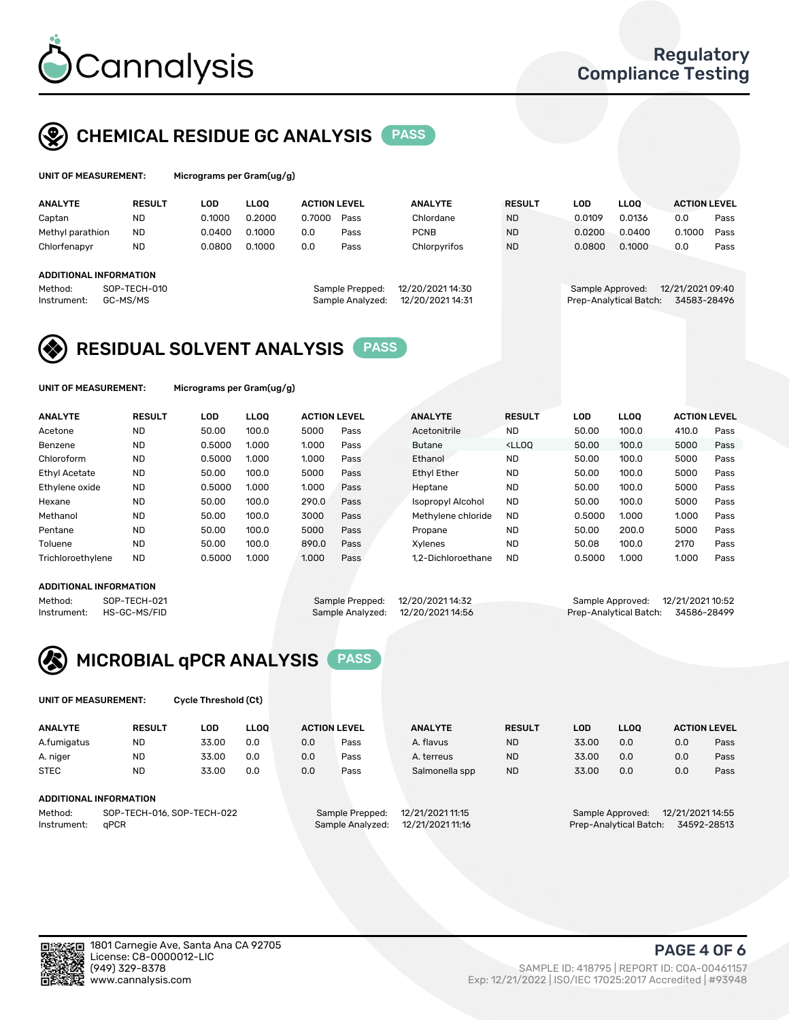

# CHEMICAL RESIDUE GC ANALYSIS PASS

| Microg |
|--------|
|        |

rams per Gram(ug/g)

| <b>ANALYTE</b>                                          | <b>RESULT</b>            | LOD    | <b>LLOO</b> | <b>ACTION LEVEL</b> |                                     | <b>ANALYTE</b>                       | <b>RESULT</b> | LOD    | <b>LLOO</b>                                | <b>ACTION LEVEL</b>             |      |
|---------------------------------------------------------|--------------------------|--------|-------------|---------------------|-------------------------------------|--------------------------------------|---------------|--------|--------------------------------------------|---------------------------------|------|
| Captan                                                  | <b>ND</b>                | 0.1000 | 0.2000      | 0.7000              | Pass                                | Chlordane                            | <b>ND</b>     | 0.0109 | 0.0136                                     | 0.0                             | Pass |
| Methyl parathion                                        | <b>ND</b>                | 0.0400 | 0.1000      | 0.0                 | Pass                                | <b>PCNB</b>                          | <b>ND</b>     | 0.0200 | 0.0400                                     | 0.1000                          | Pass |
| Chlorfenapyr                                            | <b>ND</b>                | 0.0800 | 0.1000      | 0.0                 | Pass                                | Chlorpyrifos                         | <b>ND</b>     | 0.0800 | 0.1000                                     | 0.0                             | Pass |
| <b>ADDITIONAL INFORMATION</b><br>Method:<br>Instrument: | SOP-TECH-010<br>GC-MS/MS |        |             |                     | Sample Prepped:<br>Sample Analyzed: | 12/20/2021 14:30<br>12/20/2021 14:31 |               |        | Sample Approved:<br>Prep-Analytical Batch: | 12/21/2021 09:40<br>34583-28496 |      |
|                                                         |                          |        |             |                     |                                     |                                      |               |        |                                            |                                 |      |

# RESIDUAL SOLVENT ANALYSIS PASS

UNIT OF MEASUREMENT: Micrograms per Gram(ug/g)

| <b>ANALYTE</b>       | <b>RESULT</b> | LOD    | <b>LLOO</b> | <b>ACTION LEVEL</b> |      | <b>ANALYTE</b>           | <b>RESULT</b>                                                               | LOD    | <b>LLOO</b> | <b>ACTION LEVEL</b> |      |
|----------------------|---------------|--------|-------------|---------------------|------|--------------------------|-----------------------------------------------------------------------------|--------|-------------|---------------------|------|
| Acetone              | <b>ND</b>     | 50.00  | 100.0       | 5000                | Pass | Acetonitrile             | <b>ND</b>                                                                   | 50.00  | 100.0       | 410.0               | Pass |
| Benzene              | <b>ND</b>     | 0.5000 | 1.000       | 1.000               | Pass | <b>Butane</b>            | <lloo< td=""><td>50.00</td><td>100.0</td><td>5000</td><td>Pass</td></lloo<> | 50.00  | 100.0       | 5000                | Pass |
| Chloroform           | <b>ND</b>     | 0.5000 | 1.000       | 1.000               | Pass | Ethanol                  | <b>ND</b>                                                                   | 50.00  | 100.0       | 5000                | Pass |
| <b>Ethyl Acetate</b> | <b>ND</b>     | 50.00  | 100.0       | 5000                | Pass | <b>Ethyl Ether</b>       | <b>ND</b>                                                                   | 50.00  | 100.0       | 5000                | Pass |
| Ethylene oxide       | <b>ND</b>     | 0.5000 | 1.000       | 1.000               | Pass | Heptane                  | <b>ND</b>                                                                   | 50.00  | 100.0       | 5000                | Pass |
| Hexane               | <b>ND</b>     | 50.00  | 100.0       | 290.0               | Pass | <b>Isopropyl Alcohol</b> | <b>ND</b>                                                                   | 50.00  | 100.0       | 5000                | Pass |
| Methanol             | <b>ND</b>     | 50.00  | 100.0       | 3000                | Pass | Methylene chloride       | <b>ND</b>                                                                   | 0.5000 | 1.000       | 1.000               | Pass |
| Pentane              | <b>ND</b>     | 50.00  | 100.0       | 5000                | Pass | Propane                  | <b>ND</b>                                                                   | 50.00  | 200.0       | 5000                | Pass |
| Toluene              | <b>ND</b>     | 50.00  | 100.0       | 890.0               | Pass | Xvlenes                  | <b>ND</b>                                                                   | 50.08  | 100.0       | 2170                | Pass |
| Trichloroethylene    | <b>ND</b>     | 0.5000 | 1.000       | 1.000               | Pass | 1.2-Dichloroethane       | <b>ND</b>                                                                   | 0.5000 | 1.000       | 1.000               | Pass |

#### ADDITIONAL INFORMATION

Method: SOP-TECH-021 Sample Prepped: 12/20/202114:32 Sample Approved: 12/21/2021 10:52<br>Instrument: HS-GC-MS/FID Sample Analyzed: 12/20/2021 14:56 Prep-Analytical Batch: 34586-28499

Prep-Analytical Batch: 34586-28499

# MICROBIAL qPCR ANALYSIS PASS

UNIT OF MEASUREMENT: Cycle Threshold (Ct)

| <b>ANALYTE</b>         | <b>RESULT</b>              | LOD   | <b>LLOO</b> |     | <b>ACTION LEVEL</b> | <b>ANALYTE</b>   | <b>RESULT</b> | LOD   | <b>LLOO</b>            |                  | <b>ACTION LEVEL</b> |
|------------------------|----------------------------|-------|-------------|-----|---------------------|------------------|---------------|-------|------------------------|------------------|---------------------|
| A.fumigatus            | <b>ND</b>                  | 33.00 | 0.0         | 0.0 | Pass                | A. flavus        | <b>ND</b>     | 33.00 | 0.0                    | 0.0              | Pass                |
| A. niger               | <b>ND</b>                  | 33.00 | 0.0         | 0.0 | Pass                | A. terreus       | <b>ND</b>     | 33.00 | 0.0                    | 0.0              | Pass                |
| <b>STEC</b>            | <b>ND</b>                  | 33.00 | 0.0         | 0.0 | Pass                | Salmonella spp   | <b>ND</b>     | 33.00 | 0.0                    | 0.0              | Pass                |
| ADDITIONAL INFORMATION |                            |       |             |     |                     |                  |               |       |                        |                  |                     |
| Method:                | SOP-TECH-016, SOP-TECH-022 |       |             |     | Sample Prepped:     | 12/21/2021 11:15 |               |       | Sample Approved:       | 12/21/2021 14:55 |                     |
| Instrument:            | aPCR                       |       |             |     | Sample Analyzed:    | 12/21/2021 11:16 |               |       | Prep-Analytical Batch: |                  | 34592-28513         |



(949) 329-8378 SAMPLE ID: 418795 | REPORT ID: COA-00461157 Exp: 12/21/2022 | ISO/IEC 17025:2017 Accredited | #93948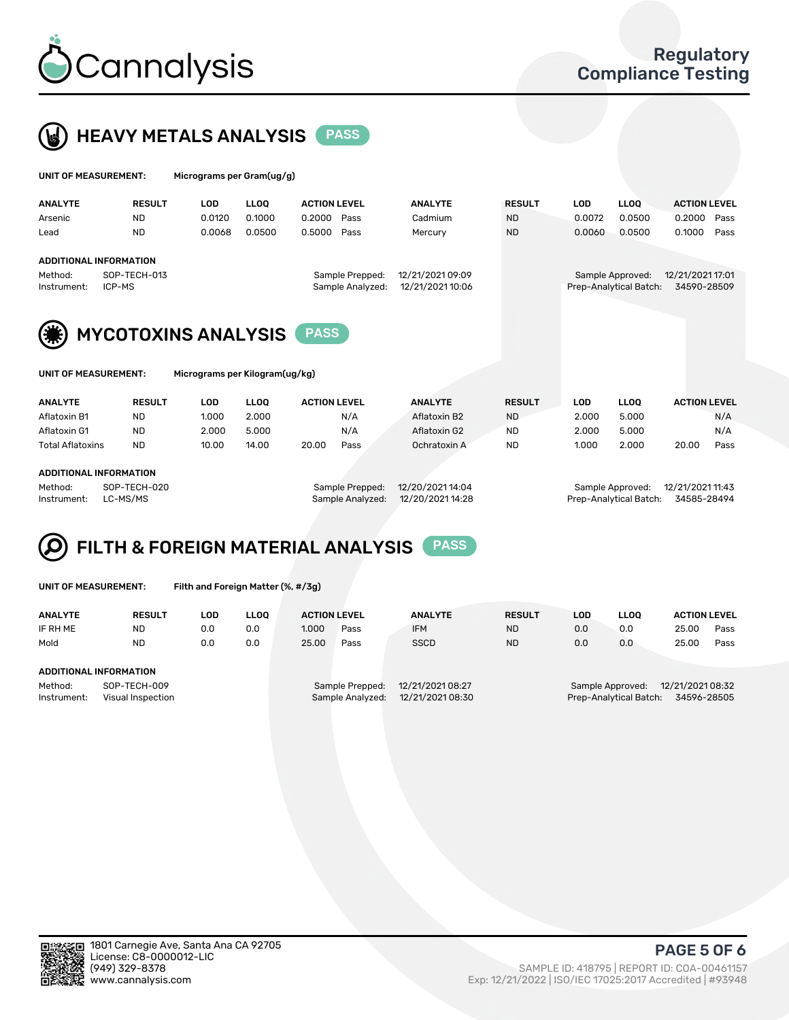



| UNIT OF MEASUREMENT: |                        | Micrograms per Gram(ug/g) |             |                     |                  |               |            |                        |                     |      |
|----------------------|------------------------|---------------------------|-------------|---------------------|------------------|---------------|------------|------------------------|---------------------|------|
| <b>ANALYTE</b>       | <b>RESULT</b>          | <b>LOD</b>                | <b>LLOO</b> | <b>ACTION LEVEL</b> | <b>ANALYTE</b>   | <b>RESULT</b> | <b>LOD</b> | <b>LLOO</b>            | <b>ACTION LEVEL</b> |      |
| Arsenic              | <b>ND</b>              | 0.0120                    | 0.1000      | 0.2000<br>Pass      | Cadmium          | <b>ND</b>     | 0.0072     | 0.0500                 | 0.2000              | Pass |
| Lead                 | <b>ND</b>              | 0.0068                    | 0.0500      | 0.5000<br>Pass      | Mercury          | <b>ND</b>     | 0.0060     | 0.0500                 | 0.1000              | Pass |
|                      | ADDITIONAL INFORMATION |                           |             |                     |                  |               |            |                        |                     |      |
| Method:              | SOP-TECH-013           |                           |             | Sample Prepped:     | 12/21/2021 09:09 |               |            | Sample Approved:       | 12/21/2021 17:01    |      |
| Instrument:          | ICP-MS                 |                           |             | Sample Analyzed:    | 12/21/2021 10:06 |               |            | Prep-Analytical Batch: | 34590-28509         |      |
|                      |                        |                           |             |                     |                  |               |            |                        |                     |      |





MYCOTOXINS ANALYSIS PASS

| UNIT OF MEASUREMENT: |  |
|----------------------|--|
|----------------------|--|

Micrograms per Kilogram(ug/kg)

| <b>ANALYTE</b>          | <b>RESULT</b> | LOD   | <b>LLOO</b> | <b>ACTION LEVEL</b> |      | <b>ANALYTE</b> | <b>RESULT</b> | LOD   | <b>LLOO</b> |       | <b>ACTION LEVEL</b> |
|-------------------------|---------------|-------|-------------|---------------------|------|----------------|---------------|-------|-------------|-------|---------------------|
| Aflatoxin B1            | <b>ND</b>     | 1.000 | 2.000       |                     | N/A  | Aflatoxin B2   | <b>ND</b>     | 2.000 | 5.000       |       | N/A                 |
| Aflatoxin G1            | <b>ND</b>     | 2.000 | 5.000       |                     | N/A  | Aflatoxin G2   | <b>ND</b>     | 2.000 | 5.000       |       | N/A                 |
| <b>Total Aflatoxins</b> | <b>ND</b>     | 10.00 | 14.00       | 20.00               | Pass | Ochratoxin A   | <b>ND</b>     | 1.000 | 2.000       | 20.00 | Pass                |
|                         |               |       |             |                     |      |                |               |       |             |       |                     |

#### ADDITIONAL INFORMATION

Method: SOP-TECH-020 Sample Prepped: 12/20/2021 14:04 Sample Approved: 12/21/2021 11:43 Instrument: LC-MS/MS Sample Analyzed: 12/20/2021 14:28 Prep-Analytical Batch: 34585-28494

# FILTH & FOREIGN MATERIAL ANALYSIS PASS

UNIT OF MEASUREMENT: Filth and Foreign Matter (%, #/3g)

| <b>ANALYTE</b>                                              | <b>RESULT</b> | LOD | <b>LLOO</b> | <b>ACTION LEVEL</b> |                                                                             | <b>ANALYTE</b> | <b>RESULT</b> | LOD                                                                           | <b>LLOO</b> |       | <b>ACTION LEVEL</b> |  |  |
|-------------------------------------------------------------|---------------|-----|-------------|---------------------|-----------------------------------------------------------------------------|----------------|---------------|-------------------------------------------------------------------------------|-------------|-------|---------------------|--|--|
| IF RH ME                                                    | <b>ND</b>     | 0.0 | 0.0         | 1.000               | Pass                                                                        | <b>IFM</b>     | <b>ND</b>     | 0.0                                                                           | 0.0         | 25.00 | Pass                |  |  |
| Mold                                                        | <b>ND</b>     | 0.0 | 0.0         | 25.00               | Pass                                                                        | <b>SSCD</b>    | <b>ND</b>     | 0.0                                                                           | 0.0         | 25.00 | Pass                |  |  |
| <b>ADDITIONAL INFORMATION</b>                               |               |     |             |                     |                                                                             |                |               |                                                                               |             |       |                     |  |  |
| Method:<br>SOP-TECH-009<br>Instrument:<br>Visual Inspection |               |     |             |                     | 12/21/2021 08:27<br>Sample Prepped:<br>12/21/2021 08:30<br>Sample Analyzed: |                |               | 12/21/2021 08:32<br>Sample Approved:<br>Prep-Analytical Batch:<br>34596-28505 |             |       |                     |  |  |